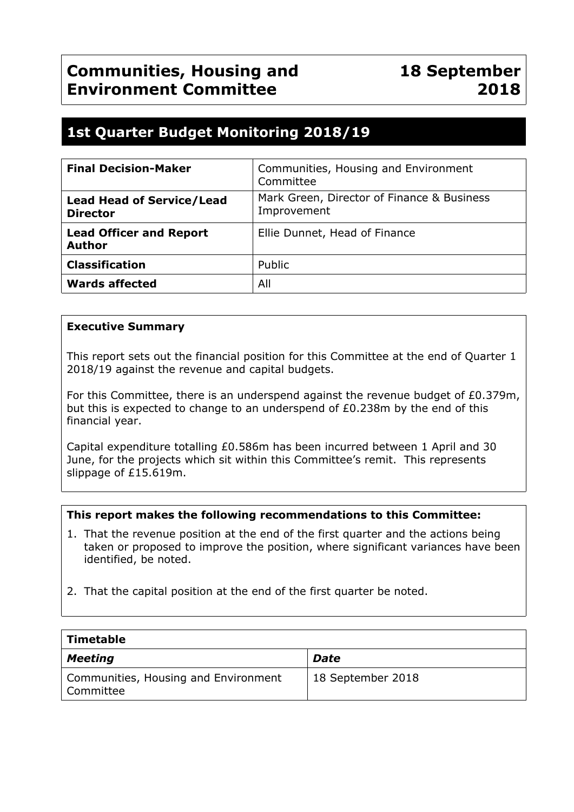# **1st Quarter Budget Monitoring 2018/19**

| <b>Final Decision-Maker</b>                         | Communities, Housing and Environment<br>Committee         |
|-----------------------------------------------------|-----------------------------------------------------------|
| <b>Lead Head of Service/Lead</b><br><b>Director</b> | Mark Green, Director of Finance & Business<br>Improvement |
| <b>Lead Officer and Report</b><br><b>Author</b>     | Ellie Dunnet, Head of Finance                             |
| <b>Classification</b>                               | Public                                                    |
| <b>Wards affected</b>                               | All                                                       |

## **Executive Summary**

This report sets out the financial position for this Committee at the end of Quarter 1 2018/19 against the revenue and capital budgets.

For this Committee, there is an underspend against the revenue budget of £0.379m, but this is expected to change to an underspend of £0.238m by the end of this financial year.

Capital expenditure totalling £0.586m has been incurred between 1 April and 30 June, for the projects which sit within this Committee's remit. This represents slippage of £15.619m.

#### **This report makes the following recommendations to this Committee:**

- 1. That the revenue position at the end of the first quarter and the actions being taken or proposed to improve the position, where significant variances have been identified, be noted.
- 2. That the capital position at the end of the first quarter be noted.

| Timetable                                           |                   |
|-----------------------------------------------------|-------------------|
| Meeting                                             | <b>Date</b>       |
| Communities, Housing and Environment<br>  Committee | 18 September 2018 |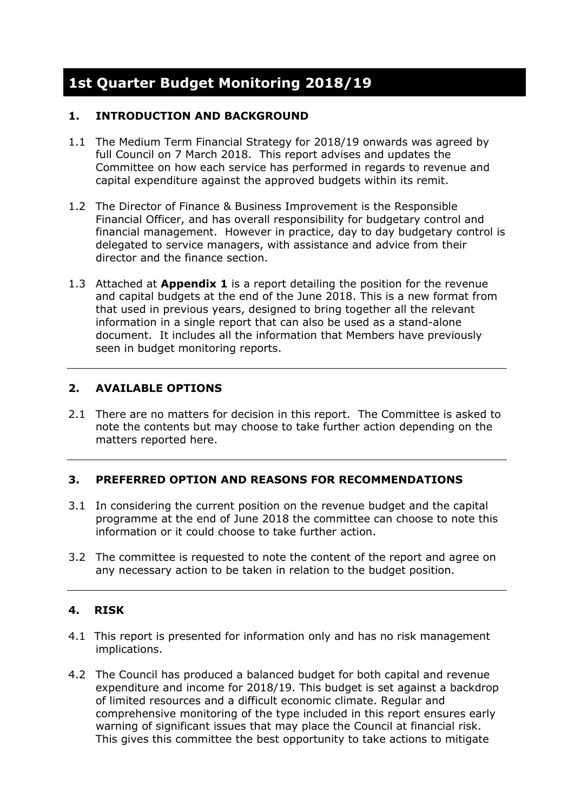## **1st Quarter Budget Monitoring 2018/19**

## **1. INTRODUCTION AND BACKGROUND**

- 1.1 The Medium Term Financial Strategy for 2018/19 onwards was agreed by full Council on 7 March 2018. This report advises and updates the Committee on how each service has performed in regards to revenue and capital expenditure against the approved budgets within its remit.
- 1.2 The Director of Finance & Business Improvement is the Responsible Financial Officer, and has overall responsibility for budgetary control and financial management. However in practice, day to day budgetary control is delegated to service managers, with assistance and advice from their director and the finance section.
- 1.3 Attached at **Appendix 1** is a report detailing the position for the revenue and capital budgets at the end of the June 2018. This is a new format from that used in previous years, designed to bring together all the relevant information in a single report that can also be used as a stand-alone document. It includes all the information that Members have previously seen in budget monitoring reports.

## **2. AVAILABLE OPTIONS**

2.1 There are no matters for decision in this report. The Committee is asked to note the contents but may choose to take further action depending on the matters reported here.

#### **3. PREFERRED OPTION AND REASONS FOR RECOMMENDATIONS**

- 3.1 In considering the current position on the revenue budget and the capital programme at the end of June 2018 the committee can choose to note this information or it could choose to take further action.
- 3.2 The committee is requested to note the content of the report and agree on any necessary action to be taken in relation to the budget position.

## **4. RISK**

- 4.1 This report is presented for information only and has no risk management implications.
- 4.2 The Council has produced a balanced budget for both capital and revenue expenditure and income for 2018/19. This budget is set against a backdrop of limited resources and a difficult economic climate. Regular and comprehensive monitoring of the type included in this report ensures early warning of significant issues that may place the Council at financial risk. This gives this committee the best opportunity to take actions to mitigate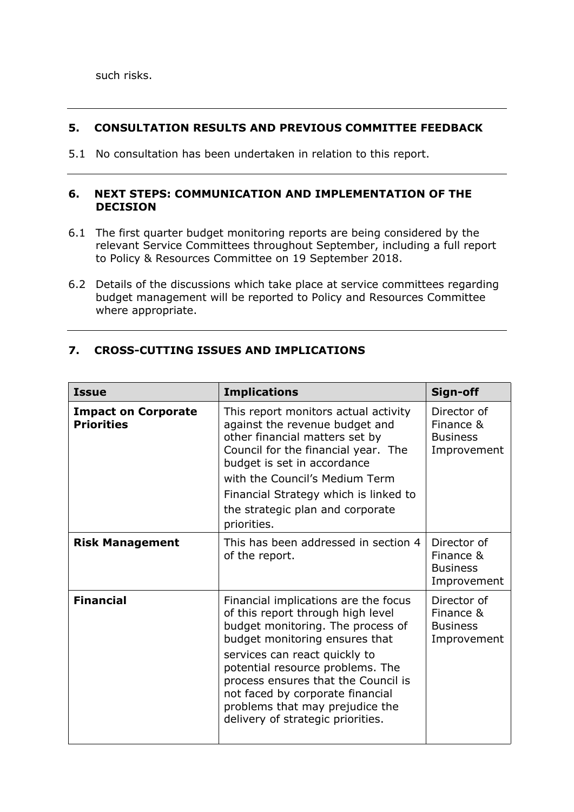### **5. CONSULTATION RESULTS AND PREVIOUS COMMITTEE FEEDBACK**

5.1 No consultation has been undertaken in relation to this report.

#### **6. NEXT STEPS: COMMUNICATION AND IMPLEMENTATION OF THE DECISION**

- 6.1 The first quarter budget monitoring reports are being considered by the relevant Service Committees throughout September, including a full report to Policy & Resources Committee on 19 September 2018.
- 6.2 Details of the discussions which take place at service committees regarding budget management will be reported to Policy and Resources Committee where appropriate.

| <b>Issue</b>                                    | <b>Implications</b>                                                                                                                                                                                                                                                                                                                                                      | Sign-off                                                   |
|-------------------------------------------------|--------------------------------------------------------------------------------------------------------------------------------------------------------------------------------------------------------------------------------------------------------------------------------------------------------------------------------------------------------------------------|------------------------------------------------------------|
| <b>Impact on Corporate</b><br><b>Priorities</b> | This report monitors actual activity<br>against the revenue budget and<br>other financial matters set by<br>Council for the financial year. The<br>budget is set in accordance<br>with the Council's Medium Term<br>Financial Strategy which is linked to<br>the strategic plan and corporate<br>priorities.                                                             | Director of<br>Finance &<br><b>Business</b><br>Improvement |
| <b>Risk Management</b>                          | This has been addressed in section 4<br>of the report.                                                                                                                                                                                                                                                                                                                   | Director of<br>Finance &<br><b>Business</b><br>Improvement |
| <b>Financial</b>                                | Financial implications are the focus<br>of this report through high level<br>budget monitoring. The process of<br>budget monitoring ensures that<br>services can react quickly to<br>potential resource problems. The<br>process ensures that the Council is<br>not faced by corporate financial<br>problems that may prejudice the<br>delivery of strategic priorities. | Director of<br>Finance &<br><b>Business</b><br>Improvement |

## **7. CROSS-CUTTING ISSUES AND IMPLICATIONS**